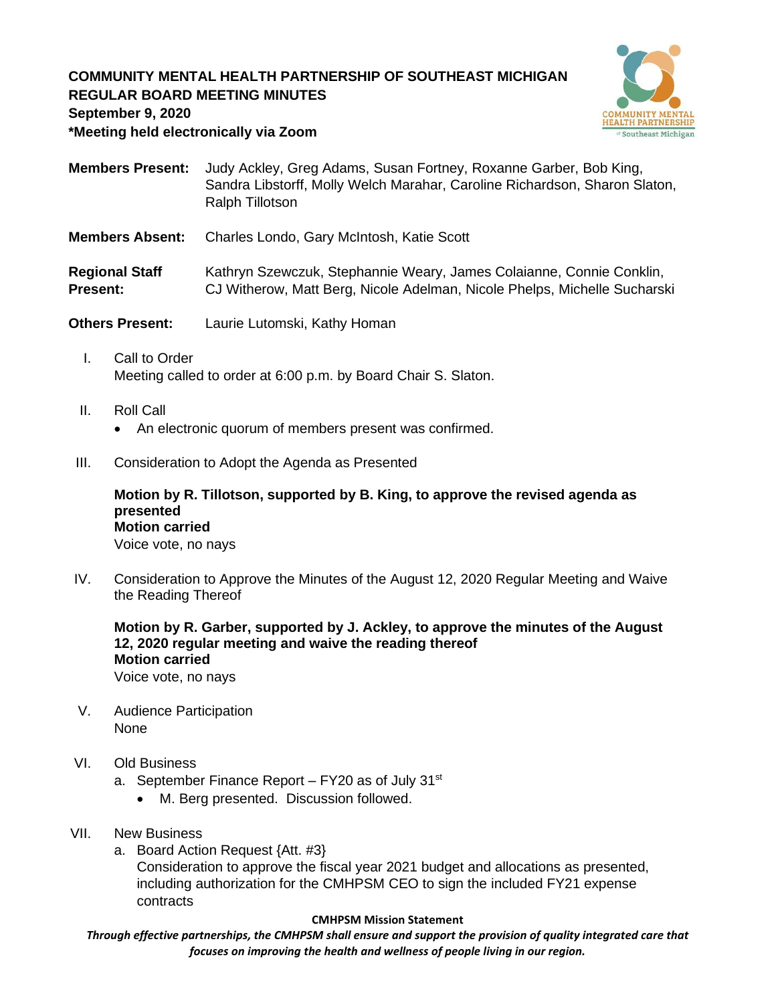# **COMMUNITY MENTAL HEALTH PARTNERSHIP OF SOUTHEAST MICHIGAN REGULAR BOARD MEETING MINUTES**



**September 9, 2020**

**\*Meeting held electronically via Zoom**

**Members Present:** Judy Ackley, Greg Adams, Susan Fortney, Roxanne Garber, Bob King, Sandra Libstorff, Molly Welch Marahar, Caroline Richardson, Sharon Slaton, Ralph Tillotson

**Members Absent:** Charles Londo, Gary McIntosh, Katie Scott

Regional Staff Kathryn Szewczuk, Stephannie Weary, James Colaianne, Connie Conklin, **Present:** CJ Witherow, Matt Berg, Nicole Adelman, Nicole Phelps, Michelle Sucharski

**Others Present:** Laurie Lutomski, Kathy Homan

- I. Call to Order Meeting called to order at 6:00 p.m. by Board Chair S. Slaton.
- II. Roll Call
	- An electronic quorum of members present was confirmed.
- III. Consideration to Adopt the Agenda as Presented

**Motion by R. Tillotson, supported by B. King, to approve the revised agenda as presented Motion carried** Voice vote, no nays

IV. Consideration to Approve the Minutes of the August 12, 2020 Regular Meeting and Waive the Reading Thereof

**Motion by R. Garber, supported by J. Ackley, to approve the minutes of the August 12, 2020 regular meeting and waive the reading thereof Motion carried** Voice vote, no nays

- V. Audience Participation None
- VI. Old Business
	- a. September Finance Report  $-$  FY20 as of July 31 $st$ 
		- M. Berg presented. Discussion followed.
- VII. New Business
	- a. Board Action Request {Att. #3}

Consideration to approve the fiscal year 2021 budget and allocations as presented, including authorization for the CMHPSM CEO to sign the included FY21 expense contracts

#### **CMHPSM Mission Statement**

*Through effective partnerships, the CMHPSM shall ensure and support the provision of quality integrated care that focuses on improving the health and wellness of people living in our region.*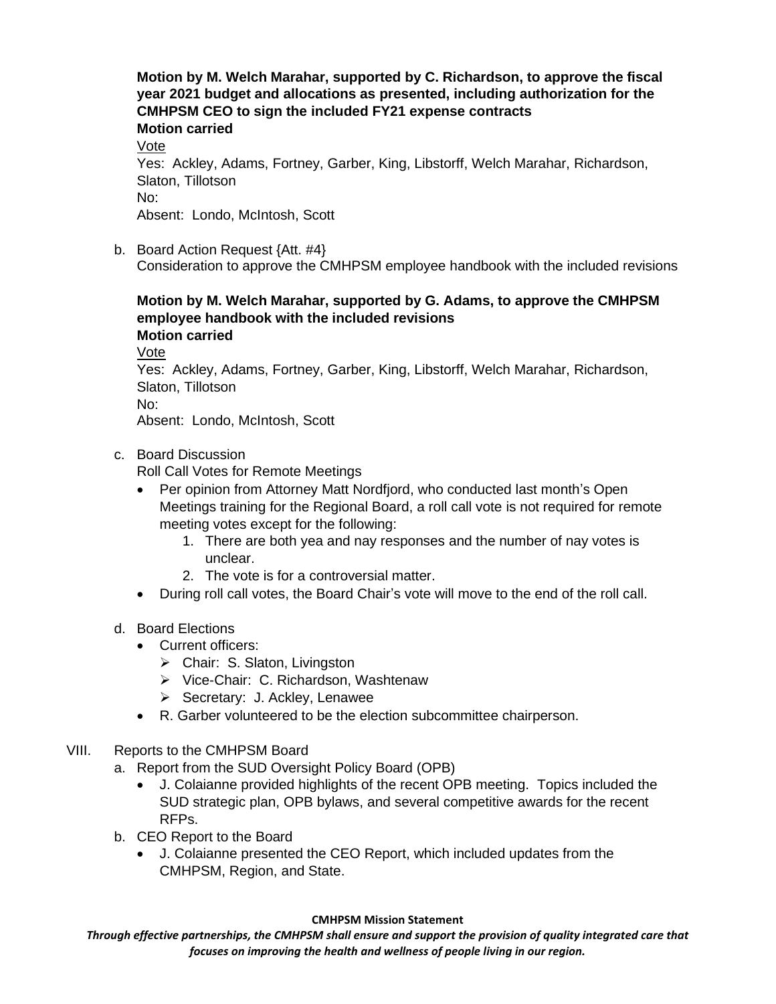**Motion by M. Welch Marahar, supported by C. Richardson, to approve the fiscal year 2021 budget and allocations as presented, including authorization for the CMHPSM CEO to sign the included FY21 expense contracts**

**Motion carried**

Vote

Yes: Ackley, Adams, Fortney, Garber, King, Libstorff, Welch Marahar, Richardson, Slaton, Tillotson No:

Absent: Londo, McIntosh, Scott

b. Board Action Request {Att. #4}

Consideration to approve the CMHPSM employee handbook with the included revisions

## **Motion by M. Welch Marahar, supported by G. Adams, to approve the CMHPSM employee handbook with the included revisions**

- **Motion carried**
- Vote

Yes: Ackley, Adams, Fortney, Garber, King, Libstorff, Welch Marahar, Richardson, Slaton, Tillotson

No:

Absent: Londo, McIntosh, Scott

c. Board Discussion

Roll Call Votes for Remote Meetings

- Per opinion from Attorney Matt Nordfjord, who conducted last month's Open Meetings training for the Regional Board, a roll call vote is not required for remote meeting votes except for the following:
	- 1. There are both yea and nay responses and the number of nay votes is unclear.
	- 2. The vote is for a controversial matter.
- During roll call votes, the Board Chair's vote will move to the end of the roll call.

### d. Board Elections

- Current officers:
	- ➢ Chair: S. Slaton, Livingston
	- ➢ Vice-Chair: C. Richardson, Washtenaw
	- ➢ Secretary: J. Ackley, Lenawee
- R. Garber volunteered to be the election subcommittee chairperson.
- VIII. Reports to the CMHPSM Board
	- a. Report from the SUD Oversight Policy Board (OPB)
		- J. Colaianne provided highlights of the recent OPB meeting. Topics included the SUD strategic plan, OPB bylaws, and several competitive awards for the recent RFPs.
	- b. CEO Report to the Board
		- J. Colaianne presented the CEO Report, which included updates from the CMHPSM, Region, and State.

#### **CMHPSM Mission Statement**

*Through effective partnerships, the CMHPSM shall ensure and support the provision of quality integrated care that focuses on improving the health and wellness of people living in our region.*